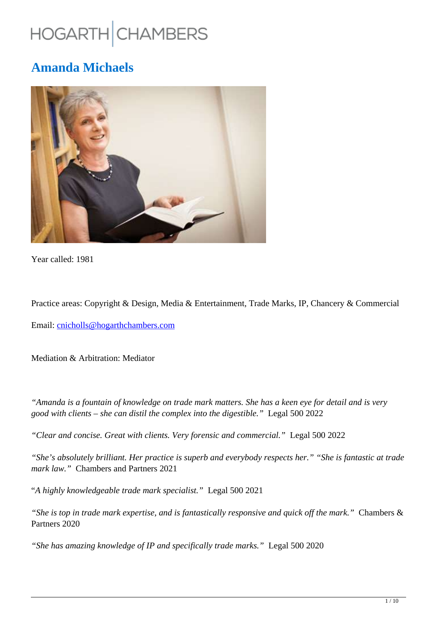# HOGARTH CHAMBERS

## **Amanda Michaels**



Year called: 1981

Practice areas: Copyright & Design, Media & Entertainment, Trade Marks, IP, Chancery & Commercial

Email: cnicholls@hogarthchambers.com

Mediation & Arbitration: Mediator

*"Amanda is a fountain of knowledge on trade mark matters. She has a keen eye for detail and is very good with clients – she can distil the complex into the digestible."* Legal 500 2022

*"Clear and concise. Great with clients. Very forensic and commercial."* Legal 500 2022

*"She's absolutely brilliant. Her practice is superb and everybody respects her." "She is fantastic at trade mark law."* Chambers and Partners 2021

"*A highly knowledgeable trade mark specialist."* Legal 500 2021

*"She is top in trade mark expertise, and is fantastically responsive and quick off the mark."* Chambers & Partners 2020

*"She has amazing knowledge of IP and specifically trade marks."* Legal 500 2020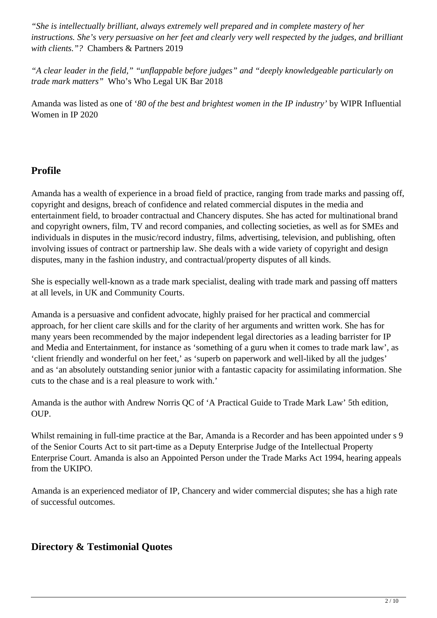*"She is intellectually brilliant, always extremely well prepared and in complete mastery of her instructions. She's very persuasive on her feet and clearly very well respected by the judges, and brilliant with clients."?* Chambers & Partners 2019

*"A clear leader in the field," "unflappable before judges" and "deeply knowledgeable particularly on trade mark matters"* Who's Who Legal UK Bar 2018

Amanda was listed as one of '*80 of the best and brightest women in the IP industry'* by WIPR Influential Women in IP 2020

## **Profile**

Amanda has a wealth of experience in a broad field of practice, ranging from trade marks and passing off, copyright and designs, breach of confidence and related commercial disputes in the media and entertainment field, to broader contractual and Chancery disputes. She has acted for multinational brand and copyright owners, film, TV and record companies, and collecting societies, as well as for SMEs and individuals in disputes in the music/record industry, films, advertising, television, and publishing, often involving issues of contract or partnership law. She deals with a wide variety of copyright and design disputes, many in the fashion industry, and contractual/property disputes of all kinds.

She is especially well-known as a trade mark specialist, dealing with trade mark and passing off matters at all levels, in UK and Community Courts.

Amanda is a persuasive and confident advocate, highly praised for her practical and commercial approach, for her client care skills and for the clarity of her arguments and written work. She has for many years been recommended by the major independent legal directories as a leading barrister for IP and Media and Entertainment, for instance as 'something of a guru when it comes to trade mark law', as 'client friendly and wonderful on her feet,' as 'superb on paperwork and well-liked by all the judges' and as 'an absolutely outstanding senior junior with a fantastic capacity for assimilating information. She cuts to the chase and is a real pleasure to work with.'

Amanda is the author with Andrew Norris QC of 'A Practical Guide to Trade Mark Law' 5th edition, OUP.

Whilst remaining in full-time practice at the Bar, Amanda is a Recorder and has been appointed under s 9 of the Senior Courts Act to sit part-time as a Deputy Enterprise Judge of the Intellectual Property Enterprise Court. Amanda is also an Appointed Person under the Trade Marks Act 1994, hearing appeals from the UKIPO.

Amanda is an experienced mediator of IP, Chancery and wider commercial disputes; she has a high rate of successful outcomes.

## **Directory & Testimonial Quotes**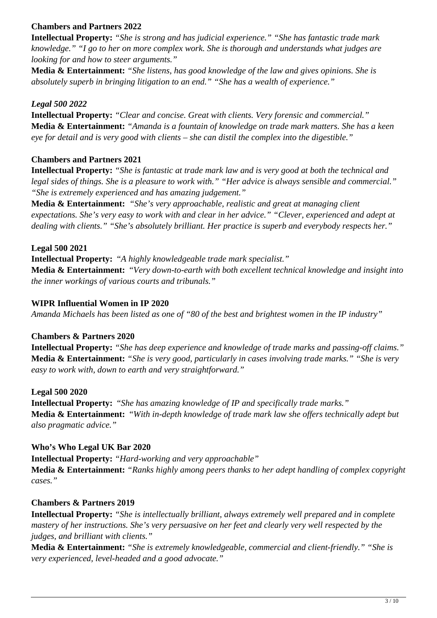#### **Chambers and Partners 2022**

**Intellectual Property:** *"She is strong and has judicial experience." "She has fantastic trade mark knowledge." "I go to her on more complex work. She is thorough and understands what judges are looking for and how to steer arguments."*

**Media & Entertainment:** *"She listens, has good knowledge of the law and gives opinions. She is absolutely superb in bringing litigation to an end." "She has a wealth of experience."*

#### *Legal 500 2022*

**Intellectual Property:** *"Clear and concise. Great with clients. Very forensic and commercial."* **Media & Entertainment:** *"Amanda is a fountain of knowledge on trade mark matters. She has a keen eye for detail and is very good with clients – she can distil the complex into the digestible."* 

#### **Chambers and Partners 2021**

**Intellectual Property:** *"She is fantastic at trade mark law and is very good at both the technical and legal sides of things. She is a pleasure to work with." "Her advice is always sensible and commercial." "She is extremely experienced and has amazing judgement."*

**Media & Entertainment:** *"She's very approachable, realistic and great at managing client expectations. She's very easy to work with and clear in her advice." "Clever, experienced and adept at dealing with clients." "She's absolutely brilliant. Her practice is superb and everybody respects her."*

**Legal 500 2021 Intellectual Property:** "*A highly knowledgeable trade mark specialist."* **Media & Entertainment:** "*Very down-to-earth with both excellent technical knowledge and insight into the inner workings of various courts and tribunals."*

#### **WIPR Influential Women in IP 2020**

*Amanda Michaels has been listed as one of "80 of the best and brightest women in the IP industry"*

#### **Chambers & Partners 2020**

**Intellectual Property:** *"She has deep experience and knowledge of trade marks and passing-off claims."*  **Media & Entertainment:** *"She is very good, particularly in cases involving trade marks." "She is very easy to work with, down to earth and very straightforward."*

#### **Legal 500 2020**

**Intellectual Property:** "*She has amazing knowledge of IP and specifically trade marks."* **Media & Entertainment:** "*With in-depth knowledge of trade mark law she offers technically adept but also pragmatic advice."*

#### **Who's Who Legal UK Bar 2020**

**Intellectual Property:** *"Hard-working and very approachable"* **Media & Entertainment:** *"Ranks highly among peers thanks to her adept handling of complex copyright cases."*

#### **Chambers & Partners 2019**

**Intellectual Property:** *"She is intellectually brilliant, always extremely well prepared and in complete mastery of her instructions. She's very persuasive on her feet and clearly very well respected by the judges, and brilliant with clients."*

**Media & Entertainment:** *"She is extremely knowledgeable, commercial and client-friendly." "She is very experienced, level-headed and a good advocate."*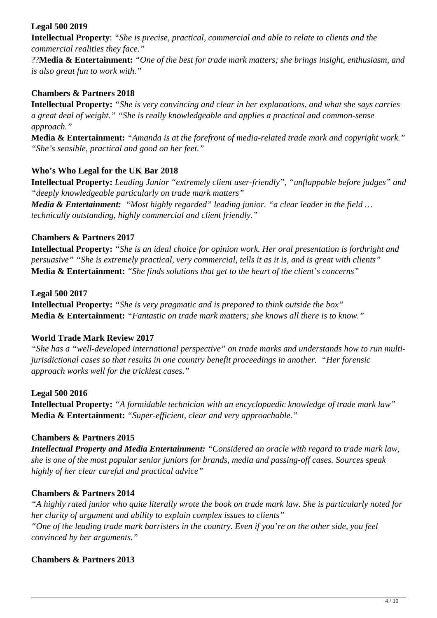#### **Legal 500 2019**

**Intellectual Property**: *"She is precise, practical, commercial and able to relate to clients and the commercial realities they face."*

??**Media & Entertainment:** *"One of the best for trade mark matters; she brings insight, enthusiasm, and is also great fun to work with."*

#### **Chambers & Partners 2018**

**Intellectual Property:** *"She is very convincing and clear in her explanations, and what she says carries a great deal of weight." "She is really knowledgeable and applies a practical and common-sense approach."* 

**Media & Entertainment:** *"Amanda is at the forefront of media-related trade mark and copyright work." "She's sensible, practical and good on her feet."* 

#### **Who's Who Legal for the UK Bar 2018**

**Intellectual Property:** *Leading Junior "extremely client user-friendly", "unflappable before judges" and "deeply knowledgeable particularly on trade mark matters"*

*Media & Entertainment: "Most highly regarded" leading junior. "a clear leader in the field … technically outstanding, highly commercial and client friendly."*

#### **Chambers & Partners 2017**

**Intellectual Property:** *"She is an ideal choice for opinion work. Her oral presentation is forthright and persuasive" "She is extremely practical, very commercial, tells it as it is, and is great with clients"* **Media & Entertainment:** *"She finds solutions that get to the heart of the client's concerns"*

#### **Legal 500 2017**

**Intellectual Property:** *"She is very pragmatic and is prepared to think outside the box"* **Media & Entertainment:** *"Fantastic on trade mark matters; she knows all there is to know."*

#### **World Trade Mark Review 2017**

*"She has a "well-developed international perspective" on trade marks and understands how to run multijurisdictional cases so that results in one country benefit proceedings in another. "Her forensic approach works well for the trickiest cases."*

#### **Legal 500 2016**

**Intellectual Property:** *"A formidable technician with an encyclopaedic knowledge of trade mark law"* **Media & Entertainment:** *"Super-efficient, clear and very approachable."*

#### **Chambers & Partners 2015**

*Intellectual Property and Media Entertainment: "Considered an oracle with regard to trade mark law, she is one of the most popular senior juniors for brands, media and passing-off cases. Sources speak highly of her clear careful and practical advice"*

#### **Chambers & Partners 2014**

*"A highly rated junior who quite literally wrote the book on trade mark law. She is particularly noted for her clarity of argument and ability to explain complex issues to clients" "One of the leading trade mark barristers in the country. Even if you're on the other side, you feel convinced by her arguments."*

#### **Chambers & Partners 2013**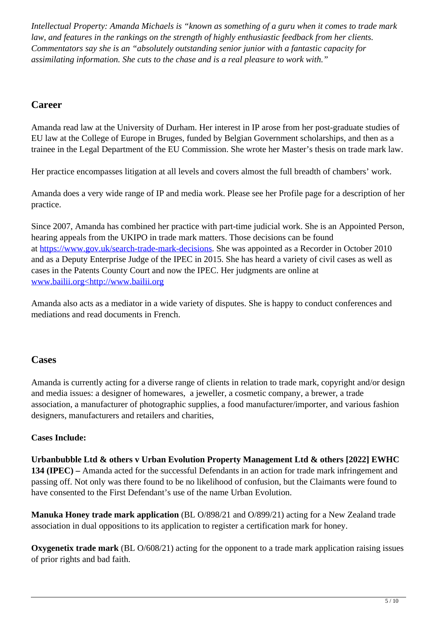*Intellectual Property: Amanda Michaels is "known as something of a guru when it comes to trade mark law, and features in the rankings on the strength of highly enthusiastic feedback from her clients. Commentators say she is an "absolutely outstanding senior junior with a fantastic capacity for assimilating information. She cuts to the chase and is a real pleasure to work with."*

## **Career**

Amanda read law at the University of Durham. Her interest in IP arose from her post-graduate studies of EU law at the College of Europe in Bruges, funded by Belgian Government scholarships, and then as a trainee in the Legal Department of the EU Commission. She wrote her Master's thesis on trade mark law.

Her practice encompasses litigation at all levels and covers almost the full breadth of chambers' work.

Amanda does a very wide range of IP and media work. Please see her Profile page for a description of her practice.

Since 2007, Amanda has combined her practice with part-time judicial work. She is an Appointed Person, hearing appeals from the UKIPO in trade mark matters. Those decisions can be found at https://www.gov.uk/search-trade-mark-decisions. She was appointed as a Recorder in October 2010 and as a Deputy Enterprise Judge of the IPEC in 2015. She has heard a variety of civil cases as well as cases in the Patents County Court and now the IPEC. Her judgments are online at www.bailii.org<http://www.bailii.org

Amanda also acts as a mediator in a wide variety of disputes. She is happy to conduct conferences and mediations and read documents in French.

## **Cases**

Amanda is currently acting for a diverse range of clients in relation to trade mark, copyright and/or design and media issues: a designer of homewares, a jeweller, a cosmetic company, a brewer, a trade association, a manufacturer of photographic supplies, a food manufacturer/importer, and various fashion designers, manufacturers and retailers and charities,

#### **Cases Include:**

**Urbanbubble Ltd & others v Urban Evolution Property Management Ltd & others [2022] EWHC 134 (IPEC) –** Amanda acted for the successful Defendants in an action for trade mark infringement and passing off. Not only was there found to be no likelihood of confusion, but the Claimants were found to have consented to the First Defendant's use of the name Urban Evolution.

**Manuka Honey trade mark application** (BL O/898/21 and O/899/21) acting for a New Zealand trade association in dual oppositions to its application to register a certification mark for honey.

**Oxygenetix trade mark** (BL O/608/21) acting for the opponent to a trade mark application raising issues of prior rights and bad faith.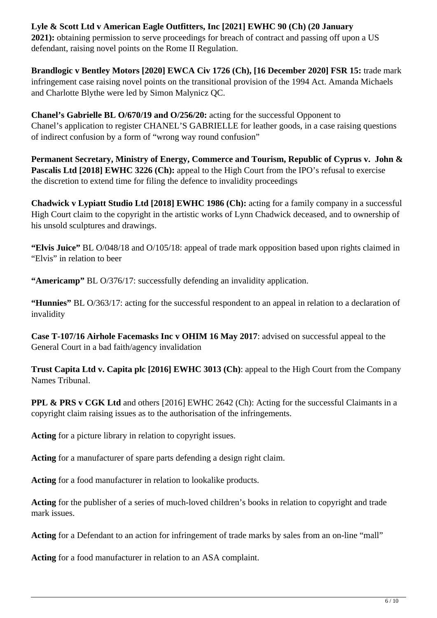### **Lyle & Scott Ltd v American Eagle Outfitters, Inc [2021] EWHC 90 (Ch) (20 January**

**2021):** obtaining permission to serve proceedings for breach of contract and passing off upon a US defendant, raising novel points on the Rome II Regulation.

**Brandlogic v Bentley Motors [2020] EWCA Civ 1726 (Ch), [16 December 2020] FSR 15: trade mark** infringement case raising novel points on the transitional provision of the 1994 Act. Amanda Michaels and Charlotte Blythe were led by Simon Malynicz QC.

**Chanel's Gabrielle BL O/670/19 and O/256/20:** acting for the successful Opponent to Chanel's application to register CHANEL'S GABRIELLE for leather goods, in a case raising questions of indirect confusion by a form of "wrong way round confusion"

**Permanent Secretary, Ministry of Energy, Commerce and Tourism, Republic of Cyprus v. John &** Pascalis Ltd [2018] EWHC 3226 (Ch): appeal to the High Court from the IPO's refusal to exercise the discretion to extend time for filing the defence to invalidity proceedings

**Chadwick v Lypiatt Studio Ltd [2018] EWHC 1986 (Ch):** acting for a family company in a successful High Court claim to the copyright in the artistic works of Lynn Chadwick deceased, and to ownership of his unsold sculptures and drawings.

**"Elvis Juice"** BL O/048/18 and O/105/18: appeal of trade mark opposition based upon rights claimed in "Elvis" in relation to beer

**"Americamp"** BL O/376/17: successfully defending an invalidity application.

**"Hunnies"** BL O/363/17: acting for the successful respondent to an appeal in relation to a declaration of invalidity

**Case T-107/16 Airhole Facemasks Inc v OHIM 16 May 2017**: advised on successful appeal to the General Court in a bad faith/agency invalidation

**Trust Capita Ltd v. Capita plc [2016] EWHC 3013 (Ch)**: appeal to the High Court from the Company Names Tribunal.

**PPL & PRS v CGK Ltd** and others [2016] EWHC 2642 (Ch): Acting for the successful Claimants in a copyright claim raising issues as to the authorisation of the infringements.

**Acting** for a picture library in relation to copyright issues.

**Acting** for a manufacturer of spare parts defending a design right claim.

**Acting** for a food manufacturer in relation to lookalike products.

**Acting** for the publisher of a series of much-loved children's books in relation to copyright and trade mark issues.

**Acting** for a Defendant to an action for infringement of trade marks by sales from an on-line "mall"

**Acting** for a food manufacturer in relation to an ASA complaint.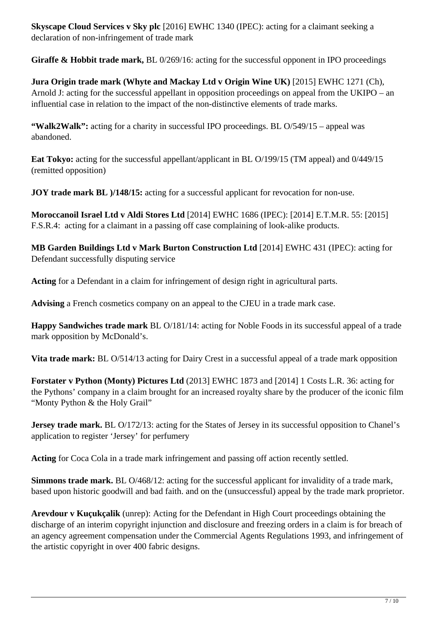**Skyscape Cloud Services v Sky plc** [2016] EWHC 1340 (IPEC): acting for a claimant seeking a declaration of non-infringement of trade mark

**Giraffe & Hobbit trade mark,** BL 0/269/16: acting for the successful opponent in IPO proceedings

**Jura Origin trade mark (Whyte and Mackay Ltd v Origin Wine UK)** [2015] EWHC 1271 (Ch), Arnold J: acting for the successful appellant in opposition proceedings on appeal from the UKIPO – an influential case in relation to the impact of the non-distinctive elements of trade marks.

**"Walk2Walk":** acting for a charity in successful IPO proceedings. BL O/549/15 – appeal was abandoned.

**Eat Tokyo:** acting for the successful appellant/applicant in BL O/199/15 (TM appeal) and 0/449/15 (remitted opposition)

**JOY trade mark BL**  $)/148/15$ **:** acting for a successful applicant for revocation for non-use.

**Moroccanoil Israel Ltd v Aldi Stores Ltd** [2014] EWHC 1686 (IPEC): [2014] E.T.M.R. 55: [2015] F.S.R.4: acting for a claimant in a passing off case complaining of look-alike products.

**MB Garden Buildings Ltd v Mark Burton Construction Ltd** [2014] EWHC 431 (IPEC): acting for Defendant successfully disputing service

**Acting** for a Defendant in a claim for infringement of design right in agricultural parts.

**Advising** a French cosmetics company on an appeal to the CJEU in a trade mark case.

**Happy Sandwiches trade mark** BL O/181/14: acting for Noble Foods in its successful appeal of a trade mark opposition by McDonald's.

**Vita trade mark:** BL O/514/13 acting for Dairy Crest in a successful appeal of a trade mark opposition

**Forstater v Python (Monty) Pictures Ltd** (2013] EWHC 1873 and [2014] 1 Costs L.R. 36: acting for the Pythons' company in a claim brought for an increased royalty share by the producer of the iconic film "Monty Python & the Holy Grail"

**Jersey trade mark.** BL O/172/13: acting for the States of Jersey in its successful opposition to Chanel's application to register 'Jersey' for perfumery

**Acting** for Coca Cola in a trade mark infringement and passing off action recently settled.

**Simmons trade mark.** BL O/468/12: acting for the successful applicant for invalidity of a trade mark, based upon historic goodwill and bad faith. and on the (unsuccessful) appeal by the trade mark proprietor.

**Arevdour v Kuçukçalik** (unrep): Acting for the Defendant in High Court proceedings obtaining the discharge of an interim copyright injunction and disclosure and freezing orders in a claim is for breach of an agency agreement compensation under the Commercial Agents Regulations 1993, and infringement of the artistic copyright in over 400 fabric designs.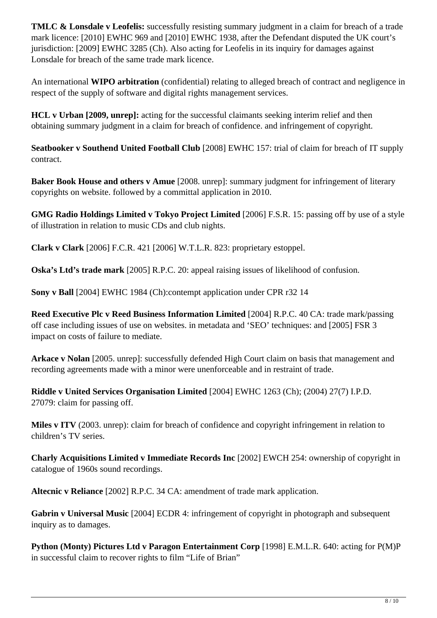**TMLC & Lonsdale v Leofelis:** successfully resisting summary judgment in a claim for breach of a trade mark licence: [2010] EWHC 969 and [2010] EWHC 1938, after the Defendant disputed the UK court's jurisdiction: [2009] EWHC 3285 (Ch). Also acting for Leofelis in its inquiry for damages against Lonsdale for breach of the same trade mark licence.

An international **WIPO arbitration** (confidential) relating to alleged breach of contract and negligence in respect of the supply of software and digital rights management services.

**HCL v Urban [2009, unrep]:** acting for the successful claimants seeking interim relief and then obtaining summary judgment in a claim for breach of confidence. and infringement of copyright.

**Seatbooker v Southend United Football Club** [2008] EWHC 157: trial of claim for breach of IT supply contract.

**Baker Book House and others v Amue** [2008. unrep]: summary judgment for infringement of literary copyrights on website. followed by a committal application in 2010.

**GMG Radio Holdings Limited v Tokyo Project Limited** [2006] F.S.R. 15: passing off by use of a style of illustration in relation to music CDs and club nights.

**Clark v Clark** [2006] F.C.R. 421 [2006] W.T.L.R. 823: proprietary estoppel.

**Oska's Ltd's trade mark** [2005] R.P.C. 20: appeal raising issues of likelihood of confusion.

**Sony v Ball** [2004] EWHC 1984 (Ch):contempt application under CPR r32 14

**Reed Executive Plc v Reed Business Information Limited** [2004] R.P.C. 40 CA: trade mark/passing off case including issues of use on websites. in metadata and 'SEO' techniques: and [2005] FSR 3 impact on costs of failure to mediate.

**Arkace v Nolan** [2005. unrep]: successfully defended High Court claim on basis that management and recording agreements made with a minor were unenforceable and in restraint of trade.

**Riddle v United Services Organisation Limited** [2004] EWHC 1263 (Ch); (2004) 27(7) I.P.D. 27079: claim for passing off.

**Miles v ITV** (2003. unrep): claim for breach of confidence and copyright infringement in relation to children's TV series.

**Charly Acquisitions Limited v Immediate Records Inc** [2002] EWCH 254: ownership of copyright in catalogue of 1960s sound recordings.

**Altecnic v Reliance** [2002] R.P.C. 34 CA: amendment of trade mark application.

**Gabrin v Universal Music** [2004] ECDR 4: infringement of copyright in photograph and subsequent inquiry as to damages.

**Python (Monty) Pictures Ltd v Paragon Entertainment Corp** [1998] E.M.L.R. 640: acting for P(M)P in successful claim to recover rights to film "Life of Brian"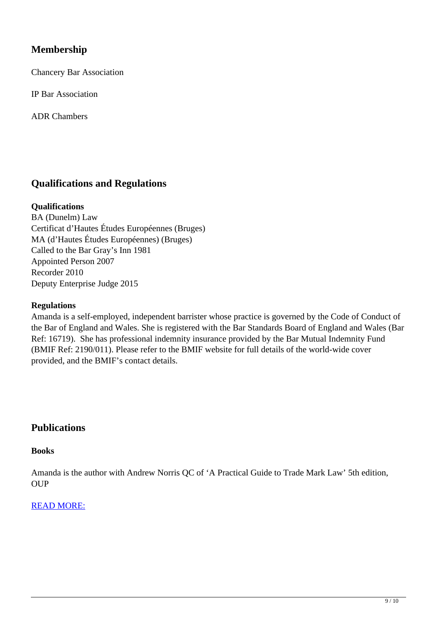## **Membership**

Chancery Bar Association

IP Bar Association

ADR Chambers

## **Qualifications and Regulations**

#### **Qualifications**

BA (Dunelm) Law Certificat d'Hautes Études Européennes (Bruges) MA (d'Hautes Études Européennes) (Bruges) Called to the Bar Gray's Inn 1981 Appointed Person 2007 Recorder 2010 Deputy Enterprise Judge 2015

#### **Regulations**

Amanda is a self-employed, independent barrister whose practice is governed by the Code of Conduct of the Bar of England and Wales. She is registered with the Bar Standards Board of England and Wales (Bar Ref: 16719). She has professional indemnity insurance provided by the Bar Mutual Indemnity Fund (BMIF Ref: 2190/011). Please refer to the BMIF website for full details of the world-wide cover provided, and the BMIF's contact details.

#### **Publications**

#### **Books**

Amanda is the author with Andrew Norris QC of 'A Practical Guide to Trade Mark Law' 5th edition, **OUP** 

#### READ MORE: